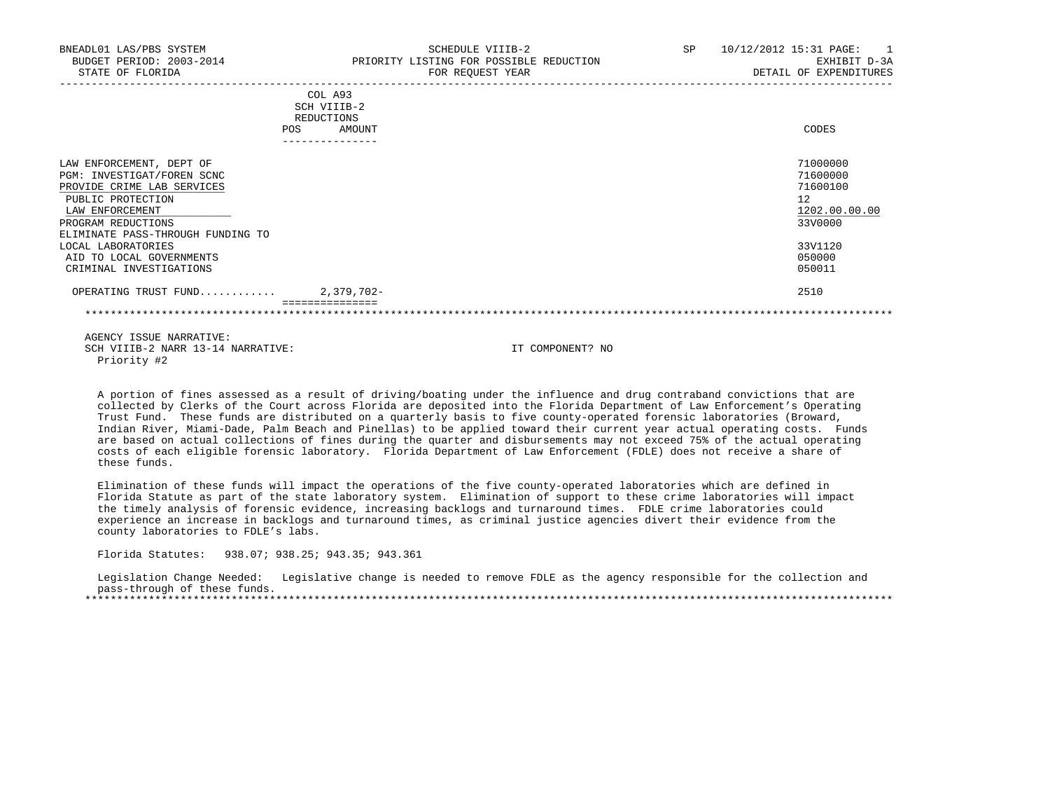| BNEADL01 LAS/PBS SYSTEM<br>BUDGET PERIOD: 2003-2014<br>STATE OF FLORIDA                                                                                                                 | SCHEDULE VIIIB-2<br>PRIORITY LISTING FOR POSSIBLE REDUCTION<br>FOR REQUEST YEAR | SP<br>10/12/2012 15:31 PAGE:<br>$\blacksquare$<br>EXHIBIT D-3A<br>DETAIL OF EXPENDITURES |
|-----------------------------------------------------------------------------------------------------------------------------------------------------------------------------------------|---------------------------------------------------------------------------------|------------------------------------------------------------------------------------------|
|                                                                                                                                                                                         | COL A93<br>SCH VIIIB-2<br>REDUCTIONS<br>AMOUNT<br>POS<br>---------------        | CODES                                                                                    |
| LAW ENFORCEMENT, DEPT OF<br>PGM: INVESTIGAT/FOREN SCNC<br>PROVIDE CRIME LAB SERVICES<br>PUBLIC PROTECTION<br>LAW ENFORCEMENT<br>PROGRAM REDUCTIONS<br>ELIMINATE PASS-THROUGH FUNDING TO |                                                                                 | 71000000<br>71600000<br>71600100<br>12<br>1202.00.00.00<br>33V0000                       |
| LOCAL LABORATORIES<br>AID TO LOCAL GOVERNMENTS<br>CRIMINAL INVESTIGATIONS                                                                                                               |                                                                                 | 33V1120<br>050000<br>050011                                                              |
| OPERATING TRUST FUND 2,379,702-                                                                                                                                                         |                                                                                 | 2510                                                                                     |

 A portion of fines assessed as a result of driving/boating under the influence and drug contraband convictions that are collected by Clerks of the Court across Florida are deposited into the Florida Department of Law Enforcement's Operating Trust Fund. These funds are distributed on a quarterly basis to five county-operated forensic laboratories (Broward, Indian River, Miami-Dade, Palm Beach and Pinellas) to be applied toward their current year actual operating costs. Funds are based on actual collections of fines during the quarter and disbursements may not exceed 75% of the actual operating costs of each eligible forensic laboratory. Florida Department of Law Enforcement (FDLE) does not receive a share of these funds.

 Elimination of these funds will impact the operations of the five county-operated laboratories which are defined in Florida Statute as part of the state laboratory system. Elimination of support to these crime laboratories will impact the timely analysis of forensic evidence, increasing backlogs and turnaround times. FDLE crime laboratories could experience an increase in backlogs and turnaround times, as criminal justice agencies divert their evidence from the county laboratories to FDLE's labs.

Florida Statutes: 938.07; 938.25; 943.35; 943.361

 Legislation Change Needed: Legislative change is needed to remove FDLE as the agency responsible for the collection and pass-through of these funds. \*\*\*\*\*\*\*\*\*\*\*\*\*\*\*\*\*\*\*\*\*\*\*\*\*\*\*\*\*\*\*\*\*\*\*\*\*\*\*\*\*\*\*\*\*\*\*\*\*\*\*\*\*\*\*\*\*\*\*\*\*\*\*\*\*\*\*\*\*\*\*\*\*\*\*\*\*\*\*\*\*\*\*\*\*\*\*\*\*\*\*\*\*\*\*\*\*\*\*\*\*\*\*\*\*\*\*\*\*\*\*\*\*\*\*\*\*\*\*\*\*\*\*\*\*\*\*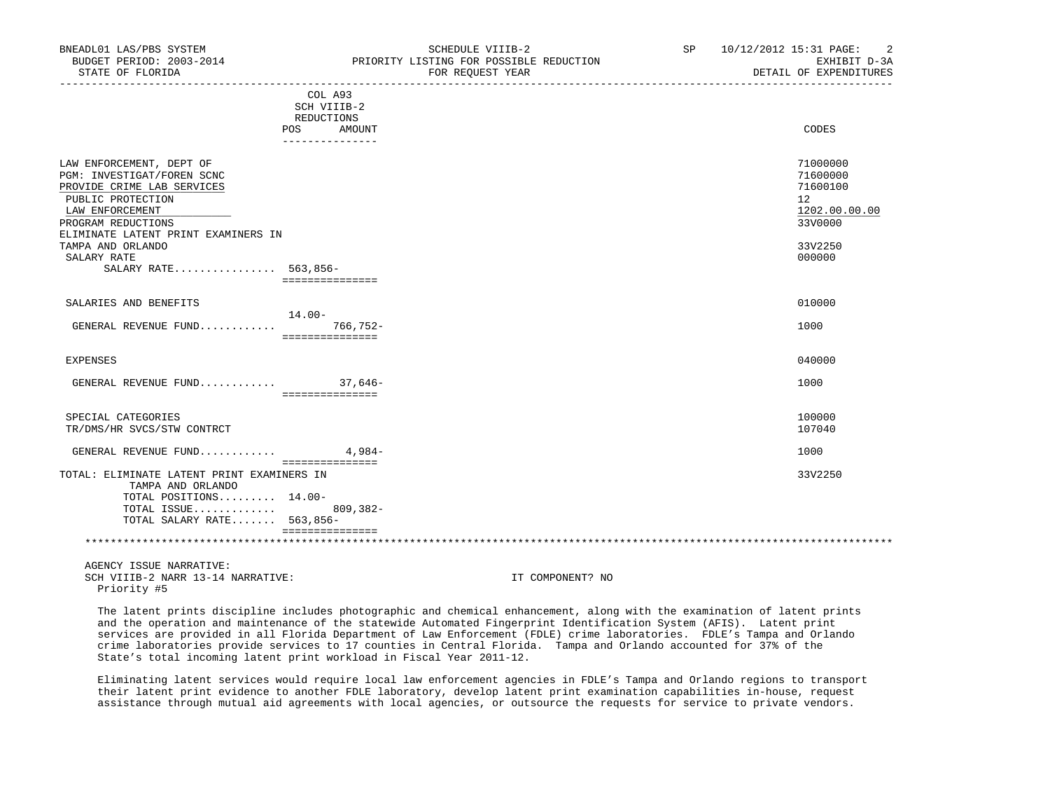| COL A93                                    |               |
|--------------------------------------------|---------------|
| SCH VIIIB-2                                |               |
| REDUCTIONS                                 |               |
| AMOUNT<br>POS                              | CODES         |
|                                            |               |
| LAW ENFORCEMENT, DEPT OF                   | 71000000      |
| PGM: INVESTIGAT/FOREN SCNC                 | 71600000      |
| PROVIDE CRIME LAB SERVICES                 | 71600100      |
| PUBLIC PROTECTION                          | 12            |
| LAW ENFORCEMENT                            | 1202.00.00.00 |
| PROGRAM REDUCTIONS                         | 33V0000       |
| ELIMINATE LATENT PRINT EXAMINERS IN        |               |
| TAMPA AND ORLANDO                          | 33V2250       |
| SALARY RATE                                | 000000        |
| SALARY RATE 563,856-                       |               |
| ===============                            |               |
|                                            |               |
| SALARIES AND BENEFITS                      | 010000        |
| $14.00 -$                                  |               |
| $766, 752 -$<br>GENERAL REVENUE FUND       | 1000          |
| ===============                            |               |
|                                            |               |
| EXPENSES                                   | 040000        |
|                                            |               |
| GENERAL REVENUE FUND 37,646-               | 1000          |
| ================                           |               |
| SPECIAL CATEGORIES                         | 100000        |
| TR/DMS/HR SVCS/STW CONTRCT                 | 107040        |
|                                            |               |
| $4.984-$<br>GENERAL REVENUE FUND           | 1000          |
| ===============                            |               |
| TOTAL: ELIMINATE LATENT PRINT EXAMINERS IN | 33V2250       |
| TAMPA AND ORLANDO                          |               |
| TOTAL POSITIONS 14.00-                     |               |
| TOTAL ISSUE<br>$809, 382 -$                |               |
| TOTAL SALARY RATE 563,856-                 |               |
| ===============                            |               |
|                                            |               |

 The latent prints discipline includes photographic and chemical enhancement, along with the examination of latent prints and the operation and maintenance of the statewide Automated Fingerprint Identification System (AFIS). Latent print services are provided in all Florida Department of Law Enforcement (FDLE) crime laboratories. FDLE's Tampa and Orlando crime laboratories provide services to 17 counties in Central Florida. Tampa and Orlando accounted for 37% of the State's total incoming latent print workload in Fiscal Year 2011-12.

 Eliminating latent services would require local law enforcement agencies in FDLE's Tampa and Orlando regions to transport their latent print evidence to another FDLE laboratory, develop latent print examination capabilities in-house, request assistance through mutual aid agreements with local agencies, or outsource the requests for service to private vendors.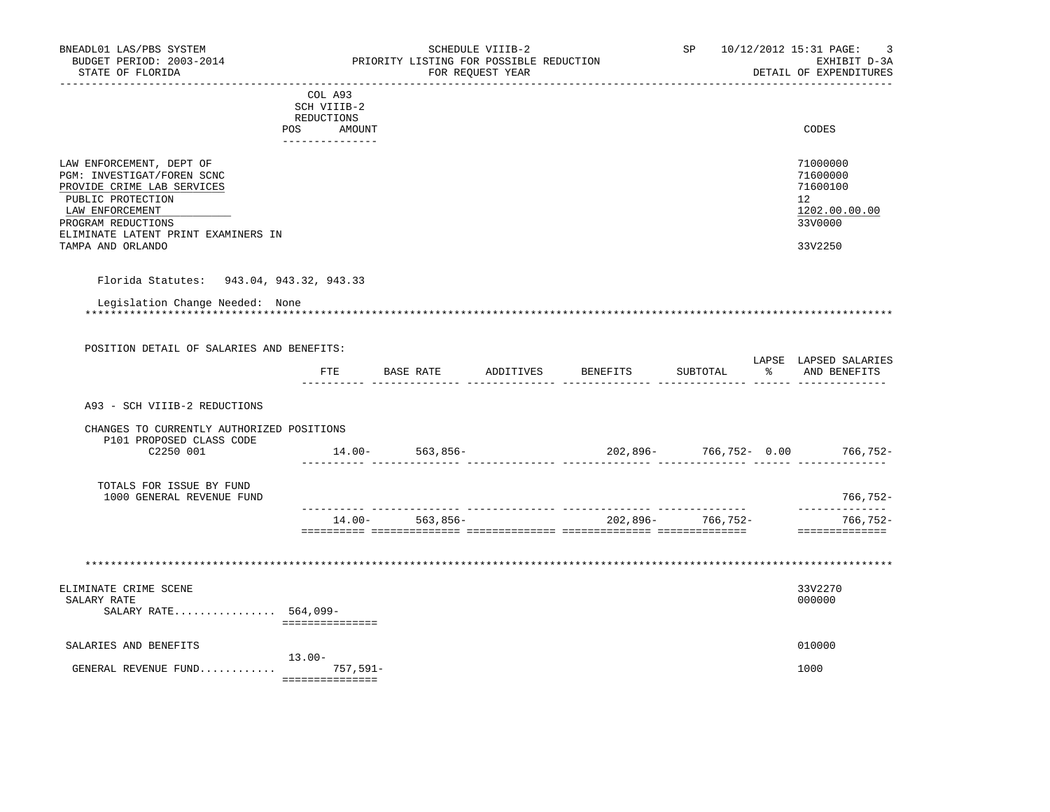| BNEADL01 LAS/PBS SYSTEM<br>BUDGET PERIOD: 2003-2014                                   |                                  | PRIORITY LISTING FOR POSSIBLE REDUCTION | SCHEDULE VIIIB-2 |                                      | SP                |   | 10/12/2012 15:31 PAGE:<br>3<br>EXHIBIT D-3A |
|---------------------------------------------------------------------------------------|----------------------------------|-----------------------------------------|------------------|--------------------------------------|-------------------|---|---------------------------------------------|
| STATE OF FLORIDA                                                                      |                                  |                                         | FOR REQUEST YEAR | --------------------------------     |                   |   | DETAIL OF EXPENDITURES                      |
|                                                                                       | COL A93                          |                                         |                  |                                      |                   |   |                                             |
|                                                                                       | SCH VIIIB-2                      |                                         |                  |                                      |                   |   |                                             |
|                                                                                       | REDUCTIONS                       |                                         |                  |                                      |                   |   |                                             |
|                                                                                       | POS<br>AMOUNT<br>--------------- |                                         |                  |                                      |                   |   | CODES                                       |
| LAW ENFORCEMENT, DEPT OF                                                              |                                  |                                         |                  |                                      |                   |   | 71000000                                    |
| PGM: INVESTIGAT/FOREN SCNC                                                            |                                  |                                         |                  |                                      |                   |   | 71600000                                    |
| PROVIDE CRIME LAB SERVICES                                                            |                                  |                                         |                  |                                      |                   |   | 71600100                                    |
| PUBLIC PROTECTION                                                                     |                                  |                                         |                  |                                      |                   |   | 12 <sup>°</sup>                             |
| LAW ENFORCEMENT                                                                       |                                  |                                         |                  |                                      |                   |   | 1202.00.00.00                               |
| PROGRAM REDUCTIONS<br>ELIMINATE LATENT PRINT EXAMINERS IN                             |                                  |                                         |                  |                                      |                   |   | 33V0000                                     |
| TAMPA AND ORLANDO                                                                     |                                  |                                         |                  |                                      |                   |   | 33V2250                                     |
|                                                                                       |                                  |                                         |                  |                                      |                   |   |                                             |
| Florida Statutes: 943.04, 943.32, 943.33                                              |                                  |                                         |                  |                                      |                   |   |                                             |
| Legislation Change Needed: None                                                       |                                  |                                         |                  |                                      |                   |   |                                             |
|                                                                                       |                                  |                                         |                  |                                      |                   |   |                                             |
|                                                                                       |                                  |                                         |                  |                                      |                   |   |                                             |
|                                                                                       |                                  |                                         |                  |                                      |                   |   |                                             |
|                                                                                       |                                  |                                         |                  |                                      |                   |   |                                             |
| POSITION DETAIL OF SALARIES AND BENEFITS:                                             |                                  |                                         |                  |                                      |                   |   |                                             |
|                                                                                       | $_{\rm FTE}$                     | BASE RATE ADDITIVES                     |                  | BENEFITS                             | SUBTOTAL          | ៖ | LAPSE LAPSED SALARIES<br>AND BENEFITS       |
|                                                                                       |                                  |                                         |                  |                                      |                   |   |                                             |
| A93 - SCH VIIIB-2 REDUCTIONS                                                          |                                  |                                         |                  |                                      |                   |   |                                             |
| CHANGES TO CURRENTLY AUTHORIZED POSITIONS                                             |                                  |                                         |                  |                                      |                   |   |                                             |
| P101 PROPOSED CLASS CODE                                                              |                                  |                                         |                  |                                      |                   |   |                                             |
| C2250 001                                                                             | $14.00 -$                        |                                         |                  |                                      |                   |   |                                             |
|                                                                                       |                                  |                                         |                  | $14.00-563,856-202,896-766,752-0.00$ |                   |   |                                             |
| TOTALS FOR ISSUE BY FUND                                                              |                                  |                                         |                  |                                      |                   |   |                                             |
| 1000 GENERAL REVENUE FUND                                                             |                                  |                                         |                  |                                      |                   |   | 766,752-                                    |
|                                                                                       |                                  |                                         |                  |                                      |                   |   | --------------                              |
|                                                                                       | $14.00 -$                        | 563,856-                                |                  |                                      | 202,896- 766,752- |   | 766,752-                                    |
|                                                                                       |                                  |                                         |                  |                                      |                   |   | ==============                              |
|                                                                                       |                                  |                                         |                  |                                      |                   |   |                                             |
|                                                                                       |                                  |                                         |                  |                                      |                   |   |                                             |
|                                                                                       |                                  |                                         |                  |                                      |                   |   |                                             |
|                                                                                       |                                  |                                         |                  |                                      |                   |   | 33V2270<br>000000                           |
| SALARY RATE 564,099-                                                                  |                                  |                                         |                  |                                      |                   |   |                                             |
|                                                                                       | ===============                  |                                         |                  |                                      |                   |   |                                             |
|                                                                                       |                                  |                                         |                  |                                      |                   |   |                                             |
|                                                                                       |                                  |                                         |                  |                                      |                   |   | 010000                                      |
| ELIMINATE CRIME SCENE<br>SALARY RATE<br>SALARIES AND BENEFITS<br>GENERAL REVENUE FUND | $13.00 -$<br>757,591-            |                                         |                  |                                      |                   |   | 1000                                        |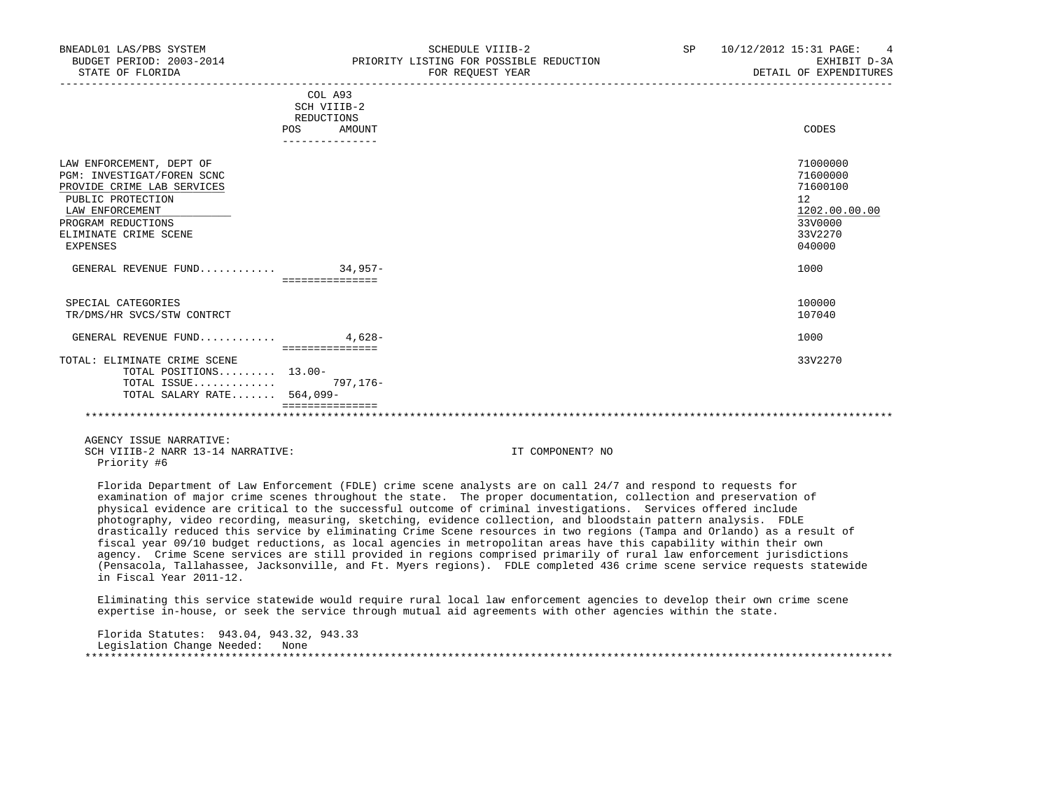| BNEADL01 LAS/PBS SYSTEM<br>BUDGET PERIOD: 2003-2014<br>STATE OF FLORIDA                                                                                                                 | SCHEDULE VIIIB-2<br>PRIORITY LISTING FOR POSSIBLE REDUCTION<br>FOR REOUEST YEAR | SP | 10/12/2012 15:31 PAGE: 4<br>EXHIBIT D-3A<br>DETAIL OF EXPENDITURES                      |
|-----------------------------------------------------------------------------------------------------------------------------------------------------------------------------------------|---------------------------------------------------------------------------------|----|-----------------------------------------------------------------------------------------|
|                                                                                                                                                                                         | COL A93<br>SCH VIIIB-2<br>REDUCTIONS<br>POS<br>AMOUNT<br>_______________        |    | CODES                                                                                   |
| LAW ENFORCEMENT, DEPT OF<br>PGM: INVESTIGAT/FOREN SCNC<br>PROVIDE CRIME LAB SERVICES<br>PUBLIC PROTECTION<br>LAW ENFORCEMENT<br>PROGRAM REDUCTIONS<br>ELIMINATE CRIME SCENE<br>EXPENSES |                                                                                 |    | 71000000<br>71600000<br>71600100<br>12<br>1202.00.00.00<br>33V0000<br>33V2270<br>040000 |
| GENERAL REVENUE FUND 34,957-                                                                                                                                                            | ________________                                                                |    | 1000                                                                                    |
| SPECIAL CATEGORIES<br>TR/DMS/HR SVCS/STW CONTRCT                                                                                                                                        |                                                                                 |    | 100000<br>107040                                                                        |
| GENERAL REVENUE FUND                                                                                                                                                                    | $4.628-$                                                                        |    | 1000                                                                                    |
| TOTAL: ELIMINATE CRIME SCENE<br>TOTAL POSITIONS 13.00-<br>TOTAL ISSUE<br>TOTAL SALARY RATE 564,099-                                                                                     | ===============<br>797,176-                                                     |    | 33V2270                                                                                 |
|                                                                                                                                                                                         |                                                                                 |    |                                                                                         |

 Florida Department of Law Enforcement (FDLE) crime scene analysts are on call 24/7 and respond to requests for examination of major crime scenes throughout the state. The proper documentation, collection and preservation of physical evidence are critical to the successful outcome of criminal investigations. Services offered include photography, video recording, measuring, sketching, evidence collection, and bloodstain pattern analysis. FDLE drastically reduced this service by eliminating Crime Scene resources in two regions (Tampa and Orlando) as a result of fiscal year 09/10 budget reductions, as local agencies in metropolitan areas have this capability within their own agency. Crime Scene services are still provided in regions comprised primarily of rural law enforcement jurisdictions (Pensacola, Tallahassee, Jacksonville, and Ft. Myers regions). FDLE completed 436 crime scene service requests statewide in Fiscal Year 2011-12.

 Eliminating this service statewide would require rural local law enforcement agencies to develop their own crime scene expertise in-house, or seek the service through mutual aid agreements with other agencies within the state.

 Florida Statutes: 943.04, 943.32, 943.33 Legislation Change Needed: None \*\*\*\*\*\*\*\*\*\*\*\*\*\*\*\*\*\*\*\*\*\*\*\*\*\*\*\*\*\*\*\*\*\*\*\*\*\*\*\*\*\*\*\*\*\*\*\*\*\*\*\*\*\*\*\*\*\*\*\*\*\*\*\*\*\*\*\*\*\*\*\*\*\*\*\*\*\*\*\*\*\*\*\*\*\*\*\*\*\*\*\*\*\*\*\*\*\*\*\*\*\*\*\*\*\*\*\*\*\*\*\*\*\*\*\*\*\*\*\*\*\*\*\*\*\*\*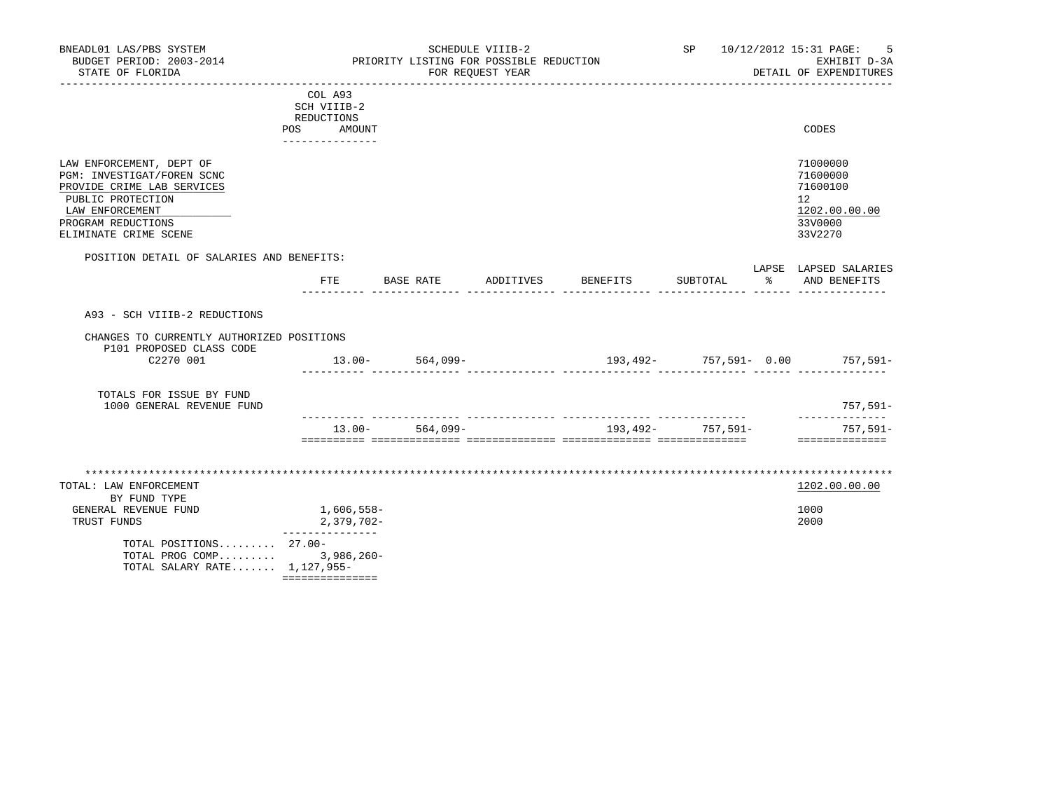| BNEADL01 LAS/PBS SYSTEM<br>BUDGET PERIOD: 2003-2014<br>STATE OF FLORIDA                                                                                                     |                                                                       | PRIORITY LISTING FOR POSSIBLE REDUCTION | SCHEDULE VIIIB-2<br>FOR REOUEST YEAR |                                |                   | SP 10/12/2012 15:31 PAGE:<br>- 5<br>EXHIBIT D-3A<br>DETAIL OF EXPENDITURES                 |
|-----------------------------------------------------------------------------------------------------------------------------------------------------------------------------|-----------------------------------------------------------------------|-----------------------------------------|--------------------------------------|--------------------------------|-------------------|--------------------------------------------------------------------------------------------|
|                                                                                                                                                                             | COL A93<br>SCH VIIIB-2<br>REDUCTIONS<br>POS AMOUNT<br>_______________ |                                         |                                      |                                |                   | CODES                                                                                      |
| LAW ENFORCEMENT, DEPT OF<br>PGM: INVESTIGAT/FOREN SCNC<br>PROVIDE CRIME LAB SERVICES<br>PUBLIC PROTECTION<br>LAW ENFORCEMENT<br>PROGRAM REDUCTIONS<br>ELIMINATE CRIME SCENE |                                                                       |                                         |                                      |                                |                   | 71000000<br>71600000<br>71600100<br>12 <sup>°</sup><br>1202.00.00.00<br>33V0000<br>33V2270 |
| POSITION DETAIL OF SALARIES AND BENEFITS:                                                                                                                                   |                                                                       | FTE BASE RATE                           |                                      | ADDITIVES BENEFITS             | SUBTOTAL          | LAPSE LAPSED SALARIES<br>% AND BENEFITS                                                    |
| A93 - SCH VIIIB-2 REDUCTIONS                                                                                                                                                |                                                                       |                                         |                                      |                                |                   |                                                                                            |
| CHANGES TO CURRENTLY AUTHORIZED POSITIONS<br>P101 PROPOSED CLASS CODE<br>C2270 001                                                                                          |                                                                       | $13.00 - 564,099 -$                     |                                      | $193,492-757,591-0.00$ 757,591 |                   |                                                                                            |
| TOTALS FOR ISSUE BY FUND<br>1000 GENERAL REVENUE FUND                                                                                                                       |                                                                       |                                         |                                      |                                |                   | 757,591-<br>______________                                                                 |
|                                                                                                                                                                             |                                                                       | $13.00 - 564,099 -$                     |                                      |                                | 193,492- 757,591- | 757,591-<br>==============                                                                 |
| TOTAL: LAW ENFORCEMENT<br>BY FUND TYPE<br>GENERAL REVENUE FUND<br>TRUST FUNDS                                                                                               | 1,606,558-<br>2,379,702-                                              |                                         |                                      |                                |                   | 1202.00.00.00<br>1000<br>2000                                                              |
| TOTAL POSITIONS 27.00-<br>TOTAL PROG COMP 3,986,260-<br>TOTAL SALARY RATE 1,127,955-                                                                                        | ________________<br>===============                                   |                                         |                                      |                                |                   |                                                                                            |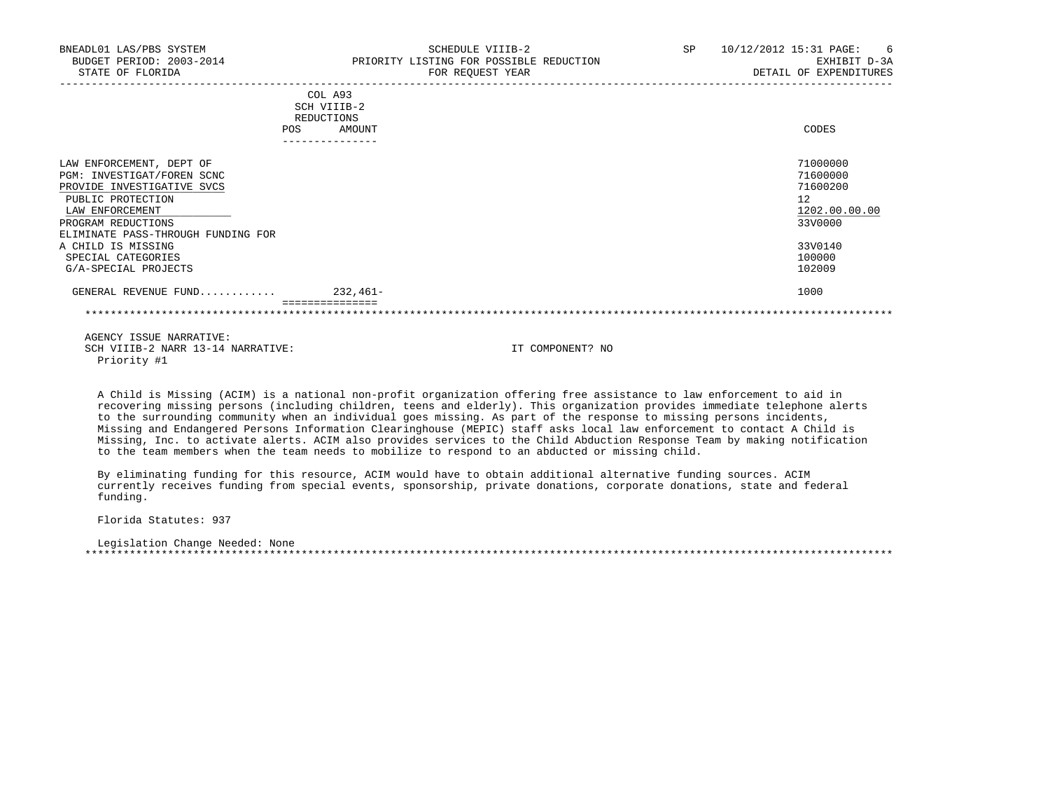| BNEADL01 LAS/PBS SYSTEM<br>BUDGET PERIOD: 2003-2014<br>STATE OF FLORIDA                                                                                                                                                                                      | <b>SP</b><br>SCHEDULE VIIIB-2<br>PRIORITY LISTING FOR POSSIBLE REDUCTION<br>FOR REQUEST YEAR | 10/12/2012 15:31 PAGE:<br>- 6<br>EXHIBIT D-3A<br>DETAIL OF EXPENDITURES                           |
|--------------------------------------------------------------------------------------------------------------------------------------------------------------------------------------------------------------------------------------------------------------|----------------------------------------------------------------------------------------------|---------------------------------------------------------------------------------------------------|
|                                                                                                                                                                                                                                                              | COL A93<br>SCH VIIIB-2<br>REDUCTIONS<br>AMOUNT<br>POS.                                       | CODES                                                                                             |
| LAW ENFORCEMENT, DEPT OF<br>PGM: INVESTIGAT/FOREN SCNC<br>PROVIDE INVESTIGATIVE SVCS<br>PUBLIC PROTECTION<br>LAW ENFORCEMENT<br>PROGRAM REDUCTIONS<br>ELIMINATE PASS-THROUGH FUNDING FOR<br>A CHILD IS MISSING<br>SPECIAL CATEGORIES<br>G/A-SPECIAL PROJECTS |                                                                                              | 71000000<br>71600000<br>71600200<br>12<br>1202.00.00.00<br>33V0000<br>33V0140<br>100000<br>102009 |
| GENERAL REVENUE FUND                                                                                                                                                                                                                                         | 232,461-                                                                                     | 1000                                                                                              |
|                                                                                                                                                                                                                                                              |                                                                                              |                                                                                                   |

 A Child is Missing (ACIM) is a national non-profit organization offering free assistance to law enforcement to aid in recovering missing persons (including children, teens and elderly). This organization provides immediate telephone alerts to the surrounding community when an individual goes missing. As part of the response to missing persons incidents, Missing and Endangered Persons Information Clearinghouse (MEPIC) staff asks local law enforcement to contact A Child is Missing, Inc. to activate alerts. ACIM also provides services to the Child Abduction Response Team by making notification to the team members when the team needs to mobilize to respond to an abducted or missing child.

 By eliminating funding for this resource, ACIM would have to obtain additional alternative funding sources. ACIM currently receives funding from special events, sponsorship, private donations, corporate donations, state and federal funding.

Florida Statutes: 937

 Legislation Change Needed: None \*\*\*\*\*\*\*\*\*\*\*\*\*\*\*\*\*\*\*\*\*\*\*\*\*\*\*\*\*\*\*\*\*\*\*\*\*\*\*\*\*\*\*\*\*\*\*\*\*\*\*\*\*\*\*\*\*\*\*\*\*\*\*\*\*\*\*\*\*\*\*\*\*\*\*\*\*\*\*\*\*\*\*\*\*\*\*\*\*\*\*\*\*\*\*\*\*\*\*\*\*\*\*\*\*\*\*\*\*\*\*\*\*\*\*\*\*\*\*\*\*\*\*\*\*\*\*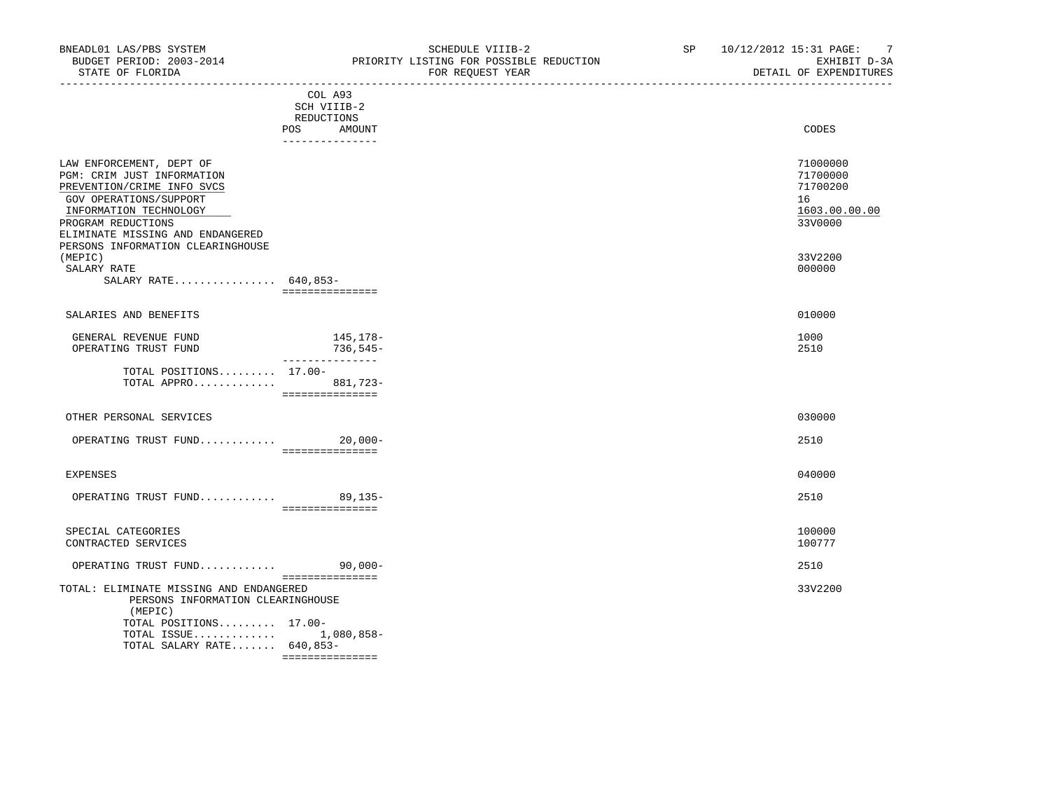| BNEADL01 LAS/PBS SYSTEM<br>STATE OF FLORIDA                                                                                                                                                                                             |                                                                       | NEADLO1 LAS/PBS SYSTEM<br>BUDGET PERIOD: 2003-2014 THE PRIORITY LISTING FOR POSSIBLE REDUCTION<br>FOR REQUEST YEAR | SP | 10/12/2012 15:31 PAGE: 7<br>EXHIBIT D-3A<br>DETAIL OF EXPENDITURES<br>_________________________ |
|-----------------------------------------------------------------------------------------------------------------------------------------------------------------------------------------------------------------------------------------|-----------------------------------------------------------------------|--------------------------------------------------------------------------------------------------------------------|----|-------------------------------------------------------------------------------------------------|
|                                                                                                                                                                                                                                         | COL A93<br>SCH VIIIB-2<br>REDUCTIONS<br>POS AMOUNT<br>_______________ |                                                                                                                    |    | CODES                                                                                           |
| LAW ENFORCEMENT, DEPT OF<br>PGM: CRIM JUST INFORMATION<br>PREVENTION/CRIME INFO SVCS<br>GOV OPERATIONS/SUPPORT<br>INFORMATION TECHNOLOGY<br>PROGRAM REDUCTIONS<br>ELIMINATE MISSING AND ENDANGERED<br>PERSONS INFORMATION CLEARINGHOUSE |                                                                       |                                                                                                                    |    | 71000000<br>71700000<br>71700200<br>16<br>1603.00.00.00<br>33V0000                              |
| (MEPIC)<br>SALARY RATE<br>SALARY RATE 640,853-                                                                                                                                                                                          | ===============                                                       |                                                                                                                    |    | 33V2200<br>000000                                                                               |
| SALARIES AND BENEFITS                                                                                                                                                                                                                   |                                                                       |                                                                                                                    |    | 010000                                                                                          |
| GENERAL REVENUE FUND<br>OPERATING TRUST FUND                                                                                                                                                                                            | $145, 178-$<br>736,545-                                               |                                                                                                                    |    | 1000<br>2510                                                                                    |
| TOTAL POSITIONS $17.00-$<br>TOTAL APPRO 881,723-                                                                                                                                                                                        | _________________                                                     |                                                                                                                    |    |                                                                                                 |
| OTHER PERSONAL SERVICES                                                                                                                                                                                                                 |                                                                       |                                                                                                                    |    | 030000                                                                                          |
| OPERATING TRUST FUND 20,000-                                                                                                                                                                                                            | ================                                                      |                                                                                                                    |    | 2510                                                                                            |
| <b>EXPENSES</b>                                                                                                                                                                                                                         |                                                                       |                                                                                                                    |    | 040000                                                                                          |
| OPERATING TRUST FUND 89,135-                                                                                                                                                                                                            | ____________________                                                  |                                                                                                                    |    | 2510                                                                                            |
| SPECIAL CATEGORIES<br>CONTRACTED SERVICES                                                                                                                                                                                               |                                                                       |                                                                                                                    |    | 100000<br>100777                                                                                |
| OPERATING TRUST FUND 90,000-                                                                                                                                                                                                            |                                                                       |                                                                                                                    |    | 2510                                                                                            |
| TOTAL: ELIMINATE MISSING AND ENDANGERED<br>PERSONS INFORMATION CLEARINGHOUSE<br>(MEPIC)<br>TOTAL POSITIONS 17.00-<br>TOTAL ISSUE 1,080,858-<br>TOTAL SALARY RATE 640,853-                                                               |                                                                       |                                                                                                                    |    | 33V2200                                                                                         |

===============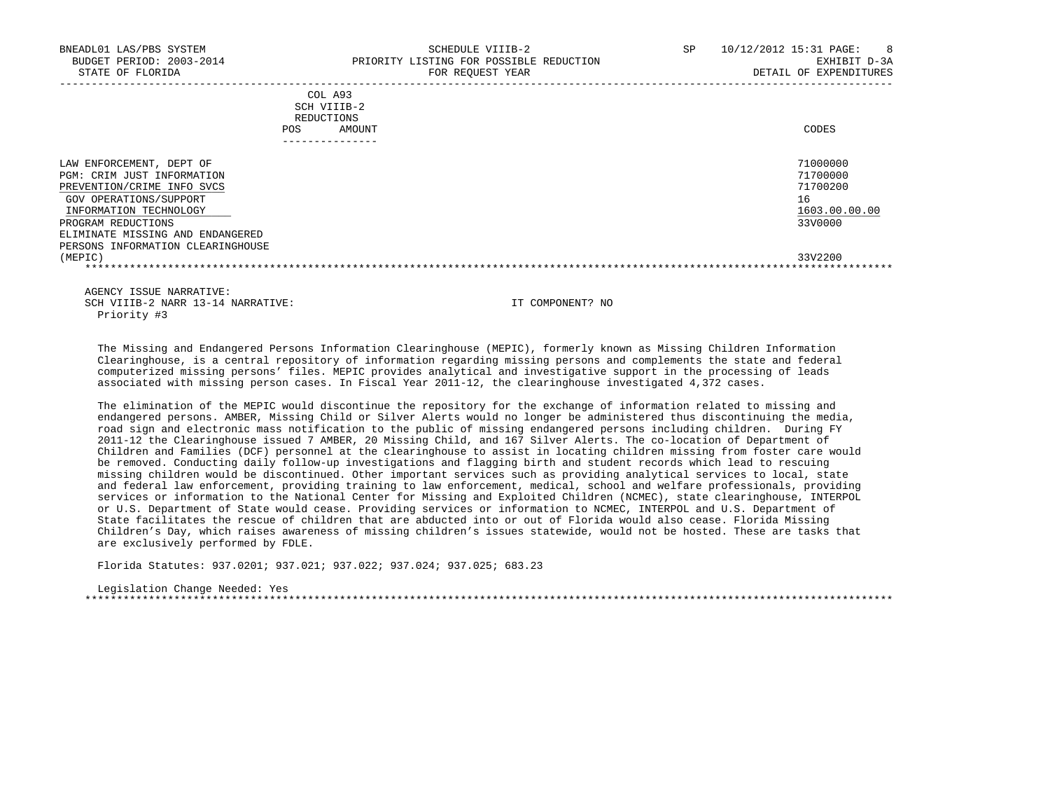| BNEADL01 LAS/PBS SYSTEM<br>BUDGET PERIOD: 2003-2014<br>STATE OF FLORIDA                                                                                                                                                                 | SP<br>SCHEDULE VIIIB-2<br>PRIORITY LISTING FOR POSSIBLE REDUCTION<br>FOR REOUEST YEAR | 10/12/2012 15:31 PAGE:<br>8 <sup>8</sup><br>EXHIBIT D-3A<br>DETAIL OF EXPENDITURES |
|-----------------------------------------------------------------------------------------------------------------------------------------------------------------------------------------------------------------------------------------|---------------------------------------------------------------------------------------|------------------------------------------------------------------------------------|
|                                                                                                                                                                                                                                         | COL A93<br>SCH VIIIB-2<br>REDUCTIONS<br><b>POS</b><br>AMOUNT<br>---------------       | CODES                                                                              |
| LAW ENFORCEMENT, DEPT OF<br>PGM: CRIM JUST INFORMATION<br>PREVENTION/CRIME INFO SVCS<br>GOV OPERATIONS/SUPPORT<br>INFORMATION TECHNOLOGY<br>PROGRAM REDUCTIONS<br>ELIMINATE MISSING AND ENDANGERED<br>PERSONS INFORMATION CLEARINGHOUSE |                                                                                       | 71000000<br>71700000<br>71700200<br>16<br>1603.00.00.00<br>33V0000                 |
| (MEPIC)                                                                                                                                                                                                                                 |                                                                                       | 33V2200                                                                            |

 The Missing and Endangered Persons Information Clearinghouse (MEPIC), formerly known as Missing Children Information Clearinghouse, is a central repository of information regarding missing persons and complements the state and federal computerized missing persons' files. MEPIC provides analytical and investigative support in the processing of leads associated with missing person cases. In Fiscal Year 2011-12, the clearinghouse investigated 4,372 cases.

 The elimination of the MEPIC would discontinue the repository for the exchange of information related to missing and endangered persons. AMBER, Missing Child or Silver Alerts would no longer be administered thus discontinuing the media, road sign and electronic mass notification to the public of missing endangered persons including children. During FY 2011-12 the Clearinghouse issued 7 AMBER, 20 Missing Child, and 167 Silver Alerts. The co-location of Department of Children and Families (DCF) personnel at the clearinghouse to assist in locating children missing from foster care would be removed. Conducting daily follow-up investigations and flagging birth and student records which lead to rescuing missing children would be discontinued. Other important services such as providing analytical services to local, state and federal law enforcement, providing training to law enforcement, medical, school and welfare professionals, providing services or information to the National Center for Missing and Exploited Children (NCMEC), state clearinghouse, INTERPOL or U.S. Department of State would cease. Providing services or information to NCMEC, INTERPOL and U.S. Department of State facilitates the rescue of children that are abducted into or out of Florida would also cease. Florida Missing Children's Day, which raises awareness of missing children's issues statewide, would not be hosted. These are tasks that are exclusively performed by FDLE.

Florida Statutes: 937.0201; 937.021; 937.022; 937.024; 937.025; 683.23

 Legislation Change Needed: Yes \*\*\*\*\*\*\*\*\*\*\*\*\*\*\*\*\*\*\*\*\*\*\*\*\*\*\*\*\*\*\*\*\*\*\*\*\*\*\*\*\*\*\*\*\*\*\*\*\*\*\*\*\*\*\*\*\*\*\*\*\*\*\*\*\*\*\*\*\*\*\*\*\*\*\*\*\*\*\*\*\*\*\*\*\*\*\*\*\*\*\*\*\*\*\*\*\*\*\*\*\*\*\*\*\*\*\*\*\*\*\*\*\*\*\*\*\*\*\*\*\*\*\*\*\*\*\*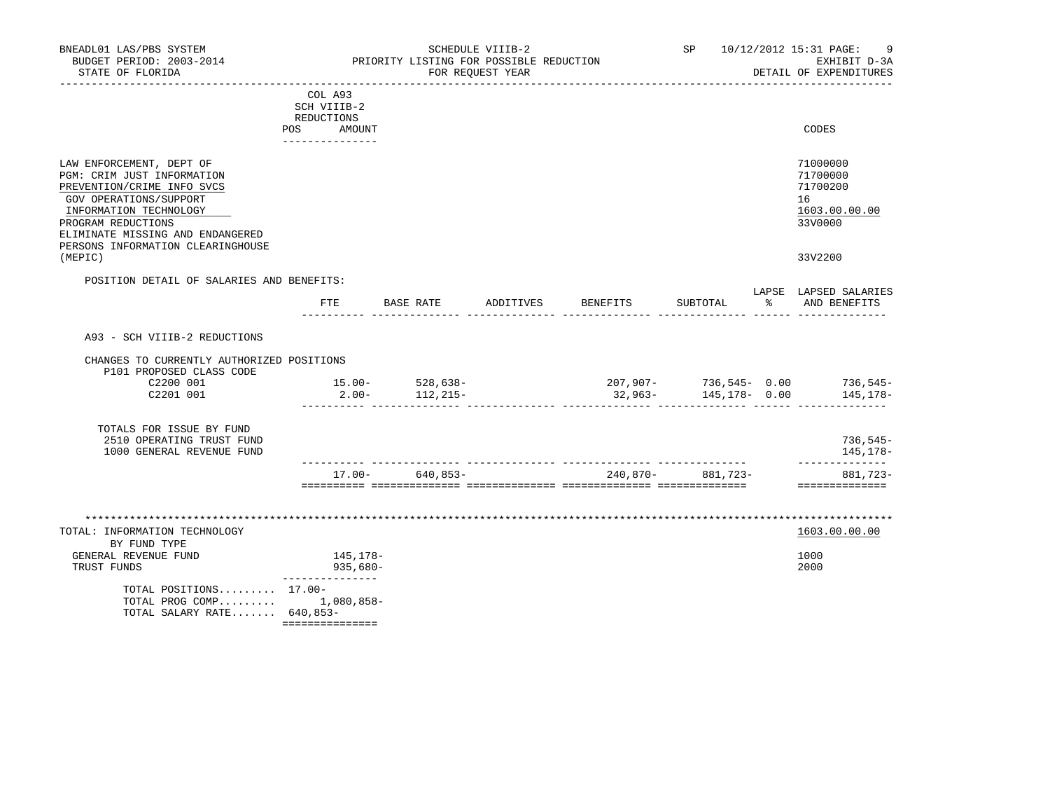| BNEADL01 LAS/PBS SYSTEM<br>BUDGET PERIOD: 2003-2014<br>STATE OF FLORIDA                                                                                                                                                                 | PRIORITY LISTING FOR POSSIBLE REDUCTION                               |                                 |                                     | SP 10/12/2012 15:31 PAGE:<br>9<br>EXHIBIT D-3A<br>DETAIL OF EXPENDITURES |   |                                                                               |
|-----------------------------------------------------------------------------------------------------------------------------------------------------------------------------------------------------------------------------------------|-----------------------------------------------------------------------|---------------------------------|-------------------------------------|--------------------------------------------------------------------------|---|-------------------------------------------------------------------------------|
|                                                                                                                                                                                                                                         | COL A93<br>SCH VIIIB-2<br>REDUCTIONS<br>POS AMOUNT<br>--------------- |                                 |                                     |                                                                          |   | CODES                                                                         |
| LAW ENFORCEMENT, DEPT OF<br>PGM: CRIM JUST INFORMATION<br>PREVENTION/CRIME INFO SVCS<br>GOV OPERATIONS/SUPPORT<br>INFORMATION TECHNOLOGY<br>PROGRAM REDUCTIONS<br>ELIMINATE MISSING AND ENDANGERED<br>PERSONS INFORMATION CLEARINGHOUSE |                                                                       |                                 |                                     |                                                                          |   | 71000000<br>71700000<br>71700200<br>16<br>1603.00.00.00<br>33V0000<br>33V2200 |
| (MEPIC)<br>POSITION DETAIL OF SALARIES AND BENEFITS:                                                                                                                                                                                    |                                                                       |                                 |                                     |                                                                          |   |                                                                               |
|                                                                                                                                                                                                                                         |                                                                       | FTE BASE RATE                   | ADDITIVES BENEFITS                  | SUBTOTAL                                                                 | ႜ | LAPSE LAPSED SALARIES<br>AND BENEFITS                                         |
| A93 - SCH VIIIB-2 REDUCTIONS                                                                                                                                                                                                            |                                                                       |                                 |                                     |                                                                          |   |                                                                               |
| CHANGES TO CURRENTLY AUTHORIZED POSITIONS<br>P101 PROPOSED CLASS CODE                                                                                                                                                                   |                                                                       |                                 |                                     |                                                                          |   |                                                                               |
| C2200 001<br>C2201 001                                                                                                                                                                                                                  | $2.00 -$                                                              | $15.00 - 528.638 -$<br>112,215- | $207,907 - 736,545 - 0.00$ 736,545- | $32,963 - 145,178 - 0.00$                                                |   | 145,178–                                                                      |
| TOTALS FOR ISSUE BY FUND<br>2510 OPERATING TRUST FUND<br>1000 GENERAL REVENUE FUND                                                                                                                                                      |                                                                       |                                 |                                     |                                                                          |   | $736,545-$<br>145,178-                                                        |
|                                                                                                                                                                                                                                         |                                                                       | $17.00 - 640.853 -$             | $240,870 - 881,723 -$               |                                                                          |   | --------------<br>881,723-<br>==============                                  |
|                                                                                                                                                                                                                                         |                                                                       |                                 |                                     |                                                                          |   |                                                                               |
| TOTAL: INFORMATION TECHNOLOGY<br>BY FUND TYPE                                                                                                                                                                                           |                                                                       |                                 |                                     |                                                                          |   | 1603.00.00.00                                                                 |
| GENERAL REVENUE FUND<br>TRUST FUNDS                                                                                                                                                                                                     | 145,178–<br>935,680-                                                  |                                 |                                     |                                                                          |   | 1000<br>2000                                                                  |
| TOTAL POSITIONS 17.00-<br>TOTAL PROG COMP 1,080,858-<br>TOTAL SALARY RATE 640,853-                                                                                                                                                      | ===============                                                       |                                 |                                     |                                                                          |   |                                                                               |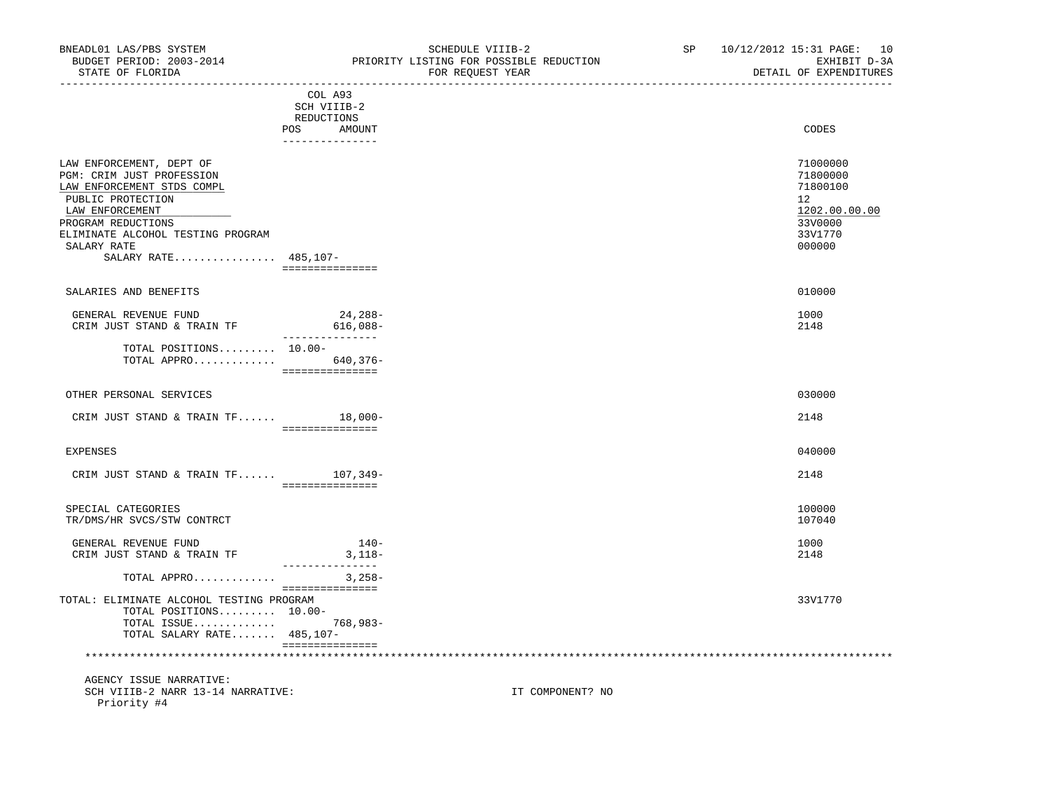-----------------------------------------------------------------------------------------------------------------------------------

 COL A93 SCH VIIIB-2 REDUCTIONS POS AMOUNT CODES AND A LOCAL CODES AND A LOCAL CODES AND A LOCAL CODES CODES AND A LOCAL CODES AND A LOCAL CODES --------------- LAW ENFORCEMENT, DEPT OF 71000000 PGM: CRIM JUST PROFESSION 71800000<br>LAW ENFORCEMENT STDS COMPL 71800100 LAW ENFORCEMENT STDS COMPL PUBLIC PROTECTION 12<br>
LAW ENFORCEMENT 1202.00.00.00 PUBLIC PROTECTION 1202.00.00.00  $\texttt{LAN ENFORCEMENT} \color{black} 1202.00.00.00$ PROGRAM REDUCTIONS 33V0000 33V0000 33V0000 33V0000 33V0000 33V0000 33V0000 33V0000 33V0000 33V1770 ELIMINATE ALCOHOL TESTING PROGRAM  $\,$ SALARY RATE  $\,$  000000  $\,$  SALARY RATE................ 485,107- =============== SALARIES AND BENEFITS 010000 GENERAL REVENUE FUND 24,288- 1000 CRIM JUST STAND & TRAIN TF 616,088- 2148 --------------- TOTAL POSITIONS......... 10.00- TOTAL APPRO............. 640,376- =============== OTHER PERSONAL SERVICES 88 and 2000 030000 030000 030000 030000 030000 030000 030000 030000 030000 030000 030000 030000 030000 030000 030000 030000 030000 030000 030000 030000 030000 030000 030000 030000 03000 03000 03000 CRIM JUST STAND & TRAIN TF...... 18,000- 2148 =============== EXPENSES 040000 CRIM JUST STAND & TRAIN TF...... 107,349- 2148 =============== SPECIAL CATEGORIES 100000 100000 100000 100000 100000 100000 100000 100000 100000 100000 100000 100000 100000<br>TR/DMS/HR\_SVCS/STW\_CONTRCT TR/DMS/HR SVCS/STW CONTRCT GENERAL REVENUE FUND 1000<br>
CRIM JUST STAND & TRAIN TF 3,118-<br>
2148 CRIM JUST STAND & TRAIN TF 3,118- 2148 --------------- TOTAL APPRO............. 3,258- =============== TOTAL: ELIMINATE ALCOHOL TESTING PROGRAM 33V1770 TOTAL POSITIONS......... 10.00- TOTAL ISSUE............. 768,983- TOTAL SALARY RATE....... 485,107- =============== \*\*\*\*\*\*\*\*\*\*\*\*\*\*\*\*\*\*\*\*\*\*\*\*\*\*\*\*\*\*\*\*\*\*\*\*\*\*\*\*\*\*\*\*\*\*\*\*\*\*\*\*\*\*\*\*\*\*\*\*\*\*\*\*\*\*\*\*\*\*\*\*\*\*\*\*\*\*\*\*\*\*\*\*\*\*\*\*\*\*\*\*\*\*\*\*\*\*\*\*\*\*\*\*\*\*\*\*\*\*\*\*\*\*\*\*\*\*\*\*\*\*\*\*\*\*\* AGENCY ISSUE NARRATIVE: SCH VIIIB-2 NARR 13-14 NARRATIVE: IT COMPONENT? NO

Priority #4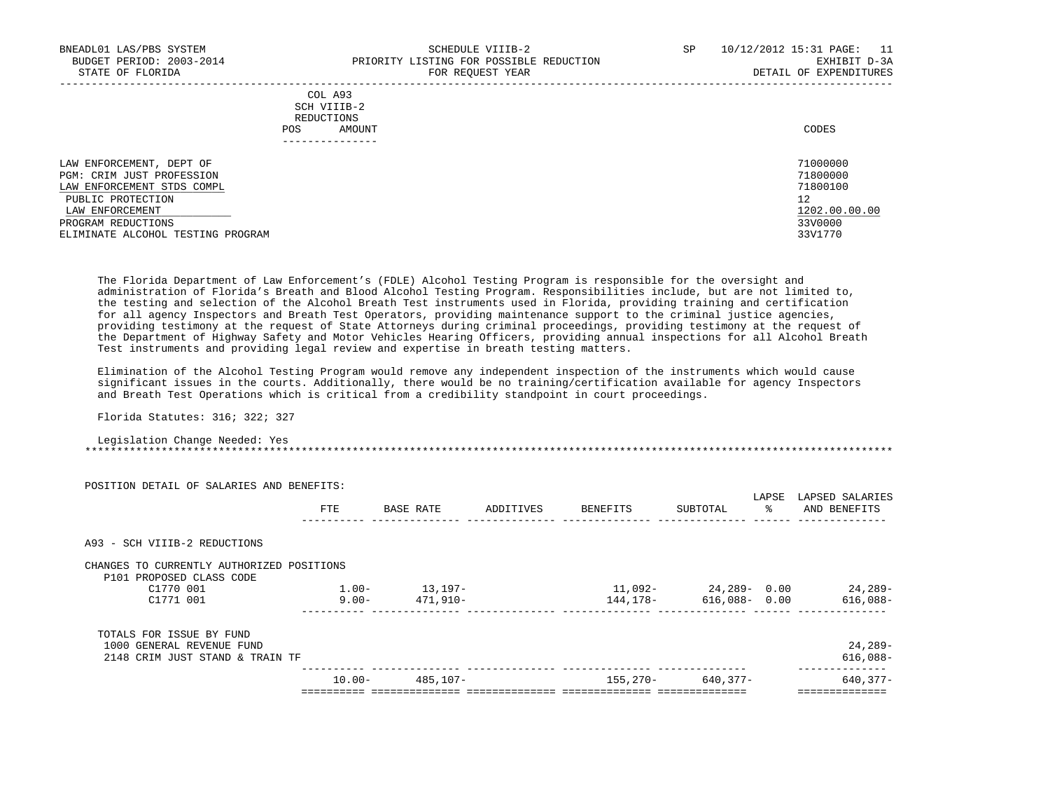| BNEADL01 LAS/PBS SYSTEM<br>BUDGET PERIOD: 2003-2014<br>STATE OF FLORIDA | SCHEDULE VIIIB-2<br>PRIORITY LISTING FOR POSSIBLE REDUCTION<br>FOR REOUEST YEAR | SP | 10/12/2012 15:31 PAGE:<br>- 11<br>EXHIBIT D-3A<br>DETAIL OF EXPENDITURES |
|-------------------------------------------------------------------------|---------------------------------------------------------------------------------|----|--------------------------------------------------------------------------|
|                                                                         | COL A93<br>SCH VIIIB-2<br>REDUCTIONS                                            |    |                                                                          |
| POS                                                                     | AMOUNT<br>____________                                                          |    | CODES                                                                    |
| LAW ENFORCEMENT, DEPT OF                                                |                                                                                 |    | 71000000                                                                 |
| PGM: CRIM JUST PROFESSION                                               |                                                                                 |    | 71800000                                                                 |
| LAW ENFORCEMENT STDS COMPL                                              |                                                                                 |    | 71800100                                                                 |
| PUBLIC PROTECTION                                                       |                                                                                 |    | 12                                                                       |
| LAW ENFORCEMENT                                                         |                                                                                 |    | 1202.00.00.00                                                            |
| PROGRAM REDUCTIONS                                                      |                                                                                 |    | 33V0000                                                                  |
| ELIMINATE ALCOHOL TESTING PROGRAM                                       |                                                                                 |    | 33V1770                                                                  |

 The Florida Department of Law Enforcement's (FDLE) Alcohol Testing Program is responsible for the oversight and administration of Florida's Breath and Blood Alcohol Testing Program. Responsibilities include, but are not limited to, the testing and selection of the Alcohol Breath Test instruments used in Florida, providing training and certification for all agency Inspectors and Breath Test Operators, providing maintenance support to the criminal justice agencies, providing testimony at the request of State Attorneys during criminal proceedings, providing testimony at the request of the Department of Highway Safety and Motor Vehicles Hearing Officers, providing annual inspections for all Alcohol Breath Test instruments and providing legal review and expertise in breath testing matters.

 Elimination of the Alcohol Testing Program would remove any independent inspection of the instruments which would cause significant issues in the courts. Additionally, there would be no training/certification available for agency Inspectors and Breath Test Operations which is critical from a credibility standpoint in court proceedings.

Florida Statutes: 316; 322; 327

 Legislation Change Needed: Yes \*\*\*\*\*\*\*\*\*\*\*\*\*\*\*\*\*\*\*\*\*\*\*\*\*\*\*\*\*\*\*\*\*\*\*\*\*\*\*\*\*\*\*\*\*\*\*\*\*\*\*\*\*\*\*\*\*\*\*\*\*\*\*\*\*\*\*\*\*\*\*\*\*\*\*\*\*\*\*\*\*\*\*\*\*\*\*\*\*\*\*\*\*\*\*\*\*\*\*\*\*\*\*\*\*\*\*\*\*\*\*\*\*\*\*\*\*\*\*\*\*\*\*\*\*\*\*

| POSITION DETAIL OF SALARIES AND BENEFITS: |           |           |           |          |                  |             |                                 |
|-------------------------------------------|-----------|-----------|-----------|----------|------------------|-------------|---------------------------------|
|                                           | FTE       | BASE RATE | ADDITIVES | BENEFITS | SUBTOTAL         | LAPSE<br>ႜႜ | LAPSED SALARIES<br>AND BENEFITS |
| A93 - SCH VIIIB-2 REDUCTIONS              |           |           |           |          |                  |             |                                 |
| CHANGES TO CURRENTLY AUTHORIZED POSITIONS |           |           |           |          |                  |             |                                 |
| P101 PROPOSED CLASS CODE                  |           |           |           |          |                  |             |                                 |
| C1770 001                                 | $1.00 -$  | 13,197–   |           | 11,092-  | 24,289-0.00      |             | 24,289-                         |
| C1771 001                                 | $9.00 -$  | 471,910-  |           | 144,178– | $616,088 - 0.00$ |             | $616,088-$                      |
| TOTALS FOR ISSUE BY FUND                  |           |           |           |          |                  |             |                                 |
| 1000 GENERAL REVENUE FUND                 |           |           |           |          |                  |             | $24, 289-$                      |
| 2148 CRIM JUST STAND & TRAIN TF           |           |           |           |          |                  |             | $616,088-$                      |
|                                           | $10.00 -$ | 485,107-  |           | 155,270- | 640,377-         |             | 640,377-                        |
|                                           |           |           |           |          |                  |             |                                 |